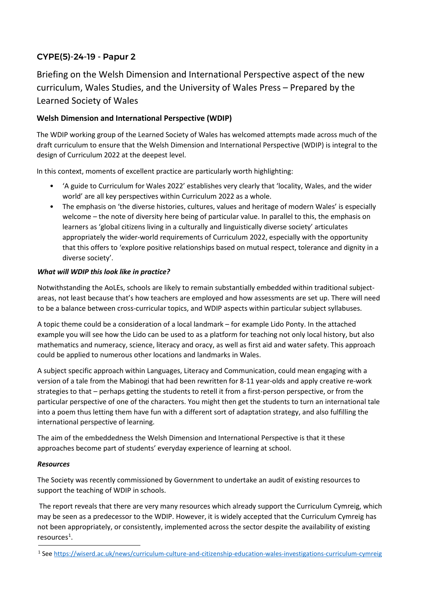# CYPE(5)-24-19 - Papur 2

Briefing on the Welsh Dimension and International Perspective aspect of the new curriculum, Wales Studies, and the University of Wales Press – Prepared by the Learned Society of Wales

## **Welsh Dimension and International Perspective (WDIP)**

The WDIP working group of the Learned Society of Wales has welcomed attempts made across much of the draft curriculum to ensure that the Welsh Dimension and International Perspective (WDIP) is integral to the design of Curriculum 2022 at the deepest level.

In this context, moments of excellent practice are particularly worth highlighting:

- 'A guide to Curriculum for Wales 2022' establishes very clearly that 'locality, Wales, and the wider world' are all key perspectives within Curriculum 2022 as a whole.
- The emphasis on 'the diverse histories, cultures, values and heritage of modern Wales' is especially welcome – the note of diversity here being of particular value. In parallel to this, the emphasis on learners as 'global citizens living in a culturally and linguistically diverse society' articulates appropriately the wider-world requirements of Curriculum 2022, especially with the opportunity that this offers to 'explore positive relationships based on mutual respect, tolerance and dignity in a diverse society'.

### *What will WDIP this look like in practice?*

Notwithstanding the AoLEs, schools are likely to remain substantially embedded within traditional subjectareas, not least because that's how teachers are employed and how assessments are set up. There will need to be a balance between cross-curricular topics, and WDIP aspects within particular subject syllabuses.

A topic theme could be a consideration of a local landmark – for example Lido Ponty. In the attached example you will see how the Lido can be used to as a platform for teaching not only local history, but also mathematics and numeracy, science, literacy and oracy, as well as first aid and water safety. This approach could be applied to numerous other locations and landmarks in Wales.

A subject specific approach within Languages, Literacy and Communication, could mean engaging with a version of a tale from the Mabinogi that had been rewritten for 8-11 year-olds and apply creative re-work strategies to that – perhaps getting the students to retell it from a first-person perspective, or from the particular perspective of one of the characters. You might then get the students to turn an international tale into a poem thus letting them have fun with a different sort of adaptation strategy, and also fulfilling the international perspective of learning.

The aim of the embeddedness the Welsh Dimension and International Perspective is that it these approaches become part of students' everyday experience of learning at school.

#### *Resources*

The Society was recently commissioned by Government to undertake an audit of existing resources to support the teaching of WDIP in schools.

The report reveals that there are very many resources which already support the Curriculum Cymreig, which may be seen as a predecessor to the WDIP. However, it is widely accepted that the Curriculum Cymreig has not been appropriately, or consistently, implemented across the sector despite the availability of existing  $resources<sup>1</sup>$  $resources<sup>1</sup>$  $resources<sup>1</sup>$ .

<span id="page-0-0"></span><sup>1</sup> See<https://wiserd.ac.uk/news/curriculum-culture-and-citizenship-education-wales-investigations-curriculum-cymreig>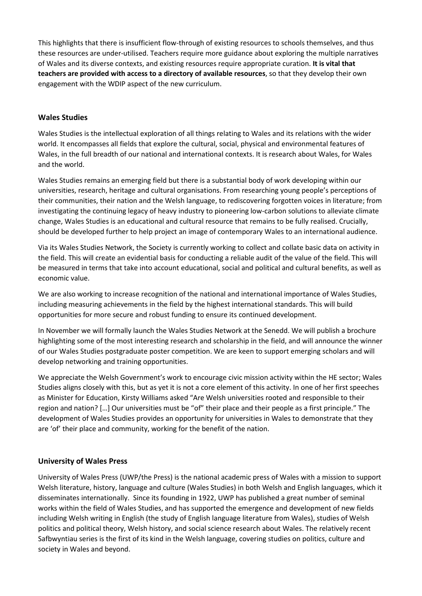This highlights that there is insufficient flow-through of existing resources to schools themselves, and thus these resources are under-utilised. Teachers require more guidance about exploring the multiple narratives of Wales and its diverse contexts, and existing resources require appropriate curation. **It is vital that teachers are provided with access to a directory of available resources**, so that they develop their own engagement with the WDIP aspect of the new curriculum.

### **Wales Studies**

Wales Studies is the intellectual exploration of all things relating to Wales and its relations with the wider world. It encompasses all fields that explore the cultural, social, physical and environmental features of Wales, in the full breadth of our national and international contexts. It is research about Wales, for Wales and the world.

Wales Studies remains an emerging field but there is a substantial body of work developing within our universities, research, heritage and cultural organisations. From researching young people's perceptions of their communities, their nation and the Welsh language, to rediscovering forgotten voices in literature; from investigating the continuing legacy of heavy industry to pioneering low-carbon solutions to alleviate climate change, Wales Studies is an educational and cultural resource that remains to be fully realised. Crucially, should be developed further to help project an image of contemporary Wales to an international audience.

Via its Wales Studies Network, the Society is currently working to collect and collate basic data on activity in the field. This will create an evidential basis for conducting a reliable audit of the value of the field. This will be measured in terms that take into account educational, social and political and cultural benefits, as well as economic value.

We are also working to increase recognition of the national and international importance of Wales Studies, including measuring achievements in the field by the highest international standards. This will build opportunities for more secure and robust funding to ensure its continued development.

In November we will formally launch the Wales Studies Network at the Senedd. We will publish a brochure highlighting some of the most interesting research and scholarship in the field, and will announce the winner of our Wales Studies postgraduate poster competition. We are keen to support emerging scholars and will develop networking and training opportunities.

We appreciate the Welsh Government's work to encourage civic mission activity within the HE sector; Wales Studies aligns closely with this, but as yet it is not a core element of this activity. In one of her first speeches as Minister for Education, Kirsty Williams asked "Are Welsh universities rooted and responsible to their region and nation? […] Our universities must be "of" their place and their people as a first principle." The development of Wales Studies provides an opportunity for universities in Wales to demonstrate that they are 'of' their place and community, working for the benefit of the nation.

### **University of Wales Press**

University of Wales Press (UWP/the Press) is the national academic press of Wales with a mission to support Welsh literature, history, language and culture (Wales Studies) in both Welsh and English languages, which it disseminates internationally. Since its founding in 1922, UWP has published a great number of seminal works within the field of Wales Studies, and has supported the emergence and development of new fields including Welsh writing in English (the study of English language literature from Wales), studies of Welsh politics and political theory, Welsh history, and social science research about Wales. The relatively recent Safbwyntiau series is the first of its kind in the Welsh language, covering studies on politics, culture and society in Wales and beyond.